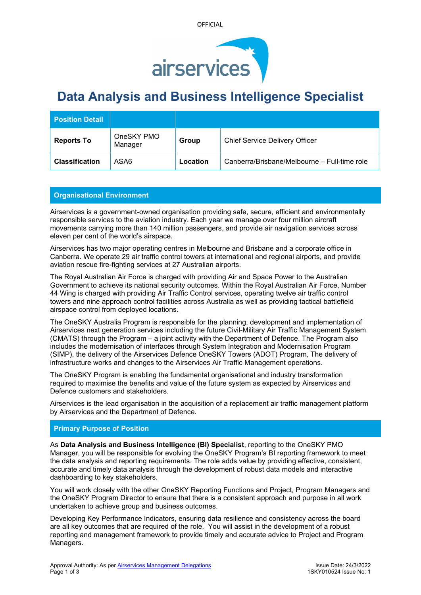



# **Data Analysis and Business Intelligence Specialist**

| <b>Position Detail</b> |                       |          |                                              |
|------------------------|-----------------------|----------|----------------------------------------------|
| <b>Reports To</b>      | OneSKY PMO<br>Manager | Group    | <b>Chief Service Delivery Officer</b>        |
| <b>Classification</b>  | ASA6                  | Location | Canberra/Brisbane/Melbourne – Full-time role |

# **Organisational Environment**

Airservices is a government-owned organisation providing safe, secure, efficient and environmentally responsible services to the aviation industry. Each year we manage over four million aircraft movements carrying more than 140 million passengers, and provide air navigation services across eleven per cent of the world's airspace.

Airservices has two major operating centres in Melbourne and Brisbane and a corporate office in Canberra. We operate 29 air traffic control towers at international and regional airports, and provide aviation rescue fire-fighting services at 27 Australian airports.

The Royal Australian Air Force is charged with providing Air and Space Power to the Australian Government to achieve its national security outcomes. Within the Royal Australian Air Force, Number 44 Wing is charged with providing Air Traffic Control services, operating twelve air traffic control towers and nine approach control facilities across Australia as well as providing tactical battlefield airspace control from deployed locations.

The OneSKY Australia Program is responsible for the planning, development and implementation of Airservices next generation services including the future Civil-Military Air Traffic Management System (CMATS) through the Program – a joint activity with the Department of Defence. The Program also includes the modernisation of interfaces through System Integration and Modernisation Program (SIMP), the delivery of the Airservices Defence OneSKY Towers (ADOT) Program, The delivery of infrastructure works and changes to the Airservices Air Traffic Management operations.

The OneSKY Program is enabling the fundamental organisational and industry transformation required to maximise the benefits and value of the future system as expected by Airservices and Defence customers and stakeholders.

Airservices is the lead organisation in the acquisition of a replacement air traffic management platform by Airservices and the Department of Defence.

## **Primary Purpose of Position**

As **Data Analysis and Business Intelligence (BI) Specialist**, reporting to the OneSKY PMO Manager, you will be responsible for evolving the OneSKY Program's BI reporting framework to meet the data analysis and reporting requirements. The role adds value by providing effective, consistent, accurate and timely data analysis through the development of robust data models and interactive dashboarding to key stakeholders.

You will work closely with the other OneSKY Reporting Functions and Project, Program Managers and the OneSKY Program Director to ensure that there is a consistent approach and purpose in all work undertaken to achieve group and business outcomes.

Developing Key Performance Indicators, ensuring data resilience and consistency across the board are all key outcomes that are required of the role. You will assist in the development of a robust reporting and management framework to provide timely and accurate advice to Project and Program Managers.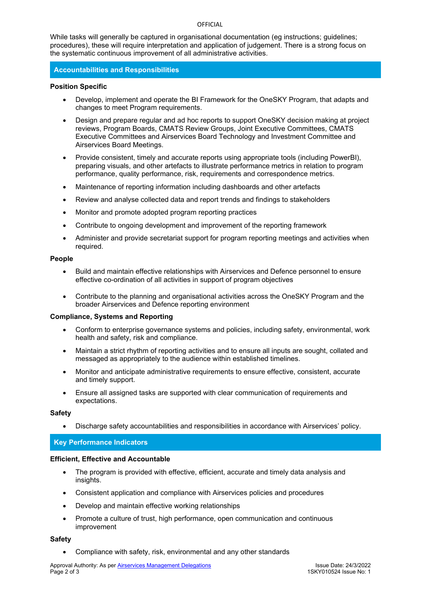### **OFFICIAL**

While tasks will generally be captured in organisational documentation (eg instructions; guidelines; procedures), these will require interpretation and application of judgement. There is a strong focus on the systematic continuous improvement of all administrative activities.

## **Accountabilities and Responsibilities**

## **Position Specific**

- Develop, implement and operate the BI Framework for the OneSKY Program, that adapts and changes to meet Program requirements.
- Design and prepare regular and ad hoc reports to support OneSKY decision making at project reviews, Program Boards, CMATS Review Groups, Joint Executive Committees, CMATS Executive Committees and Airservices Board Technology and Investment Committee and Airservices Board Meetings.
- Provide consistent, timely and accurate reports using appropriate tools (including PowerBI), preparing visuals, and other artefacts to illustrate performance metrics in relation to program performance, quality performance, risk, requirements and correspondence metrics.
- Maintenance of reporting information including dashboards and other artefacts
- Review and analyse collected data and report trends and findings to stakeholders
- Monitor and promote adopted program reporting practices
- Contribute to ongoing development and improvement of the reporting framework
- Administer and provide secretariat support for program reporting meetings and activities when required.

#### **People**

- Build and maintain effective relationships with Airservices and Defence personnel to ensure effective co-ordination of all activities in support of program objectives
- Contribute to the planning and organisational activities across the OneSKY Program and the broader Airservices and Defence reporting environment

#### **Compliance, Systems and Reporting**

- Conform to enterprise governance systems and policies, including safety, environmental, work health and safety, risk and compliance.
- Maintain a strict rhythm of reporting activities and to ensure all inputs are sought, collated and messaged as appropriately to the audience within established timelines.
- Monitor and anticipate administrative requirements to ensure effective, consistent, accurate and timely support.
- Ensure all assigned tasks are supported with clear communication of requirements and expectations.

#### **Safety**

• Discharge safety accountabilities and responsibilities in accordance with Airservices' policy.

## **Key Performance Indicators**

#### **Efficient, Effective and Accountable**

- The program is provided with effective, efficient, accurate and timely data analysis and insights.
- Consistent application and compliance with Airservices policies and procedures
- Develop and maintain effective working relationships
- Promote a culture of trust, high performance, open communication and continuous improvement

#### **Safety**

• Compliance with safety, risk, environmental and any other standards